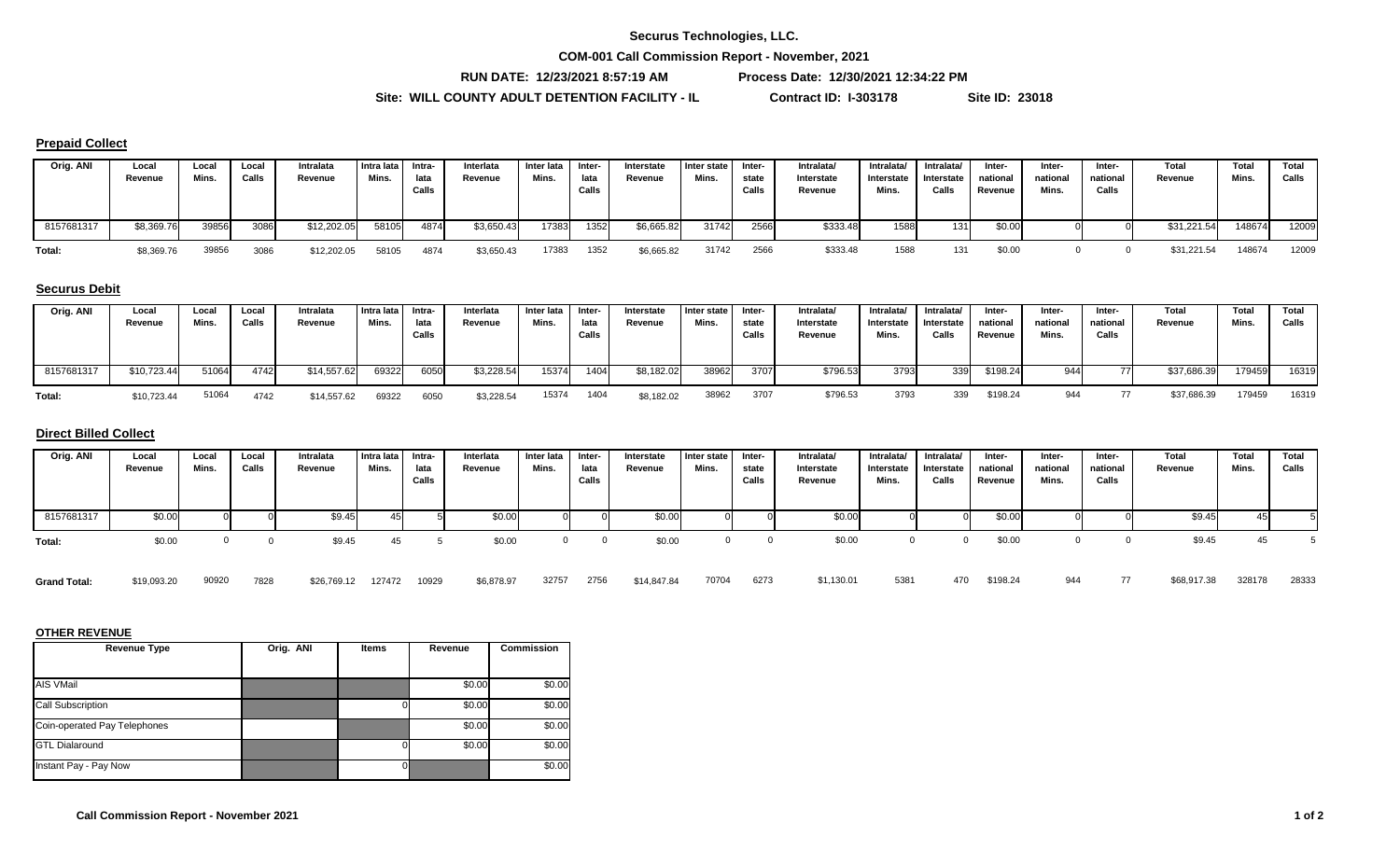## **Securus Technologies, LLC.**

**COM-001 Call Commission Report - November, 2021**

**RUN DATE: 12/23/2021 8:57:19 AM Process Date: 12/30/2021 12:34:22 PM**

**Site: WILL COUNTY ADULT DETENTION FACILITY - IL Contract ID: I-303178 Site ID: 23018**

## **Prepaid Collect**

| Orig. ANI  | Local<br>Revenue | Local<br>Mins. | Local<br>Callst | Intralata<br>Revenue | Intra lata<br>Mins. | Intra-<br>lata<br>Calls | Interlata<br>Revenue | Inter lata<br>Mins. | Inter-<br>lata<br>Calls | Interstate<br>Revenue | Inter state I<br>Mins. | Inter-<br>state<br>Calls | Intralata/<br>Interstate<br>Revenue | Intralata/<br>Interstate<br>Mins. | Intralata/<br>Interstate<br>Calls | Inter-<br>nationa<br>Revenue | Inter-<br>nationa.<br>Mins. | Inter-<br>national<br>Calls | Total<br>Revenue | Tota<br>Mins. | Total<br>Calls |
|------------|------------------|----------------|-----------------|----------------------|---------------------|-------------------------|----------------------|---------------------|-------------------------|-----------------------|------------------------|--------------------------|-------------------------------------|-----------------------------------|-----------------------------------|------------------------------|-----------------------------|-----------------------------|------------------|---------------|----------------|
| 8157681317 | \$8,369.76       | 39856          | 3086            | \$12,202.05          | 58105               | 4874                    | \$3,650.43           | 17383               | 1352                    | \$6,665.82            | 31742                  | 2566                     | \$333.48                            | 1588                              | 131 <sub>1</sub>                  | \$0.00                       |                             |                             | \$31,221.54      | 148674        | 12009          |
| Total:     | \$8,369.76       | 39856          | 3086            | \$12,202.05          | 58105               | 4874                    | \$3,650.43           | 17383               | 1352                    | \$6,665.82            | 31742                  | 2566                     | \$333.48                            | 1588                              | 131                               | \$0.00                       |                             |                             | \$31.221.54      | 148674        | 12009          |

## **Securus Debit**

| Orig. ANI  | Local       | Local | Loca  | Intralata   | Intra lata | Intra- | Interlata  | Inter lata | Inter- | Interstate | Inter state | Inter- | Intralata/ | Intralata/ | Intralata <sup>/</sup> | Inter-   | Inter-   | -Inter   | Tota        | Total  | Total |
|------------|-------------|-------|-------|-------------|------------|--------|------------|------------|--------|------------|-------------|--------|------------|------------|------------------------|----------|----------|----------|-------------|--------|-------|
|            | Revenue     | Mins. | Calls | Revenue     | Mins.      | lata   | Revenue    | Mins.      | lata   | Revenue    | Mins.       | state  | Interstate | Interstate | J Interstate           | national | national | national | Revenue     | Mins.  | Calls |
|            |             |       |       |             |            | Calls  |            |            | Calls  |            |             | Calls  | Revenue    | Mins.      | Calls                  | Revenue  | Mins.    | Calls    |             |        |       |
|            |             |       |       |             |            |        |            |            |        |            |             |        |            |            |                        |          |          |          |             |        |       |
| 8157681317 | \$10,723.44 | 51064 | 4742  | \$14,557.62 | 69322      | 6050   | \$3,228.54 | 15374      | 1404   | \$8,182.02 | 38962       | 3707   | \$796.53   | 3793       | 339                    | \$198.24 | 944      |          | \$37,686.39 | 179459 | 16319 |
| Total:     | \$10,723.44 | 51064 | 4742  | \$14,557.62 | 69322      | 6050   | \$3,228.54 | 15374      | 1404   | \$8,182.02 | 38962       | 3707   | \$796.53   | 3793       | 339                    | \$198.24 | 944      |          | \$37,686.39 | 179459 | 16319 |

### **Direct Billed Collect**

| Orig. ANI           | Local<br>Revenue | Local<br>Mins. | Local<br>Calls | Intralata<br>Revenue | Intra lata<br>Mins. | Intra-<br>lata<br>Calls | Interlata<br>Revenue | Inter lata<br>Mins. | Inter-<br>lata<br>Calls | Interstate<br>Revenue | Inter state<br>Mins. | Inter-<br>state<br>Calls | Intralata/<br>Interstate<br>Revenue | Intralata/<br>Interstate<br>Mins. | Intralata/<br>Interstate<br>Calls | Inter-<br>national<br>Revenue | Inter-<br>national<br>Mins. | Inter-<br>national<br>Calls | <b>Total</b><br>Revenue | Total<br>Mins. | Total<br>Calls |
|---------------------|------------------|----------------|----------------|----------------------|---------------------|-------------------------|----------------------|---------------------|-------------------------|-----------------------|----------------------|--------------------------|-------------------------------------|-----------------------------------|-----------------------------------|-------------------------------|-----------------------------|-----------------------------|-------------------------|----------------|----------------|
| 8157681317          | \$0.00           |                |                | \$9.45               |                     |                         | \$0.00               |                     |                         | \$0.00                |                      |                          | \$0.00                              |                                   |                                   | \$0.00                        |                             |                             | \$9.45                  | 451            |                |
| Total:              | \$0.00           |                |                | \$9.45               | 45                  |                         | \$0.00               |                     |                         | \$0.00                |                      |                          | \$0.00                              |                                   |                                   | \$0.00                        |                             |                             | \$9.45                  | 45             |                |
| <b>Grand Total:</b> | \$19,093.20      | 90920          | 7828           | \$26,769.12          | 127472              | 10929                   | \$6,878.97           | 32757               | 2756                    | \$14,847.84           | 70704                | 6273                     | \$1,130.01                          | 5381                              | 470                               | \$198.24                      | 944                         | 77                          | \$68,917.38             | 328178         | 28333          |

#### **OTHER REVENUE**

| <b>Revenue Type</b>          | Orig. ANI | <b>Items</b> | Revenue | <b>Commission</b> |
|------------------------------|-----------|--------------|---------|-------------------|
| AIS VMail                    |           |              | \$0.00  | \$0.00            |
| <b>Call Subscription</b>     |           |              | \$0.00  | \$0.00            |
| Coin-operated Pay Telephones |           |              | \$0.00  | \$0.00            |
| <b>GTL Dialaround</b>        |           |              | \$0.00  | \$0.00            |
| Instant Pay - Pay Now        |           |              |         | \$0.00            |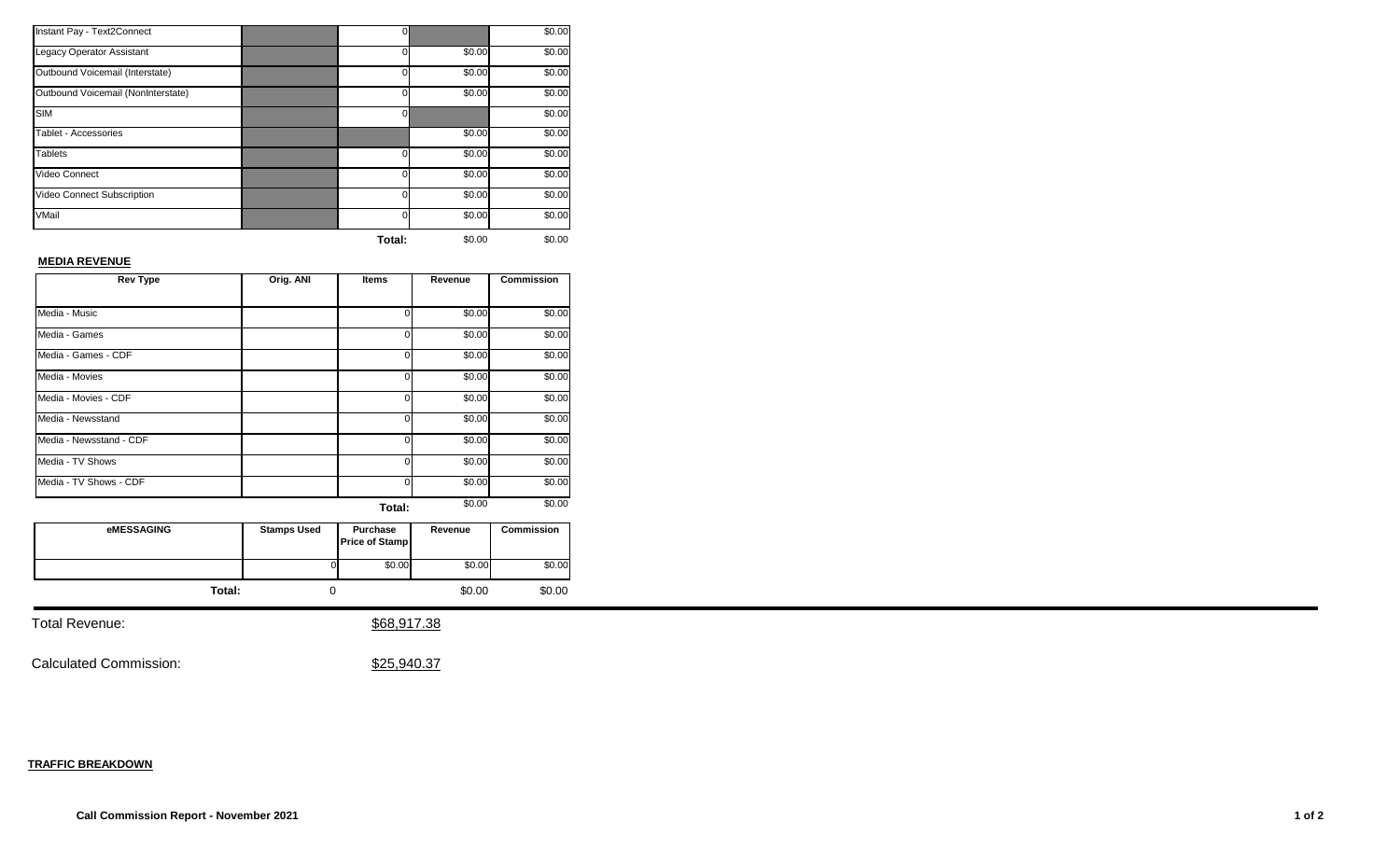| Instant Pay - Text2Connect         | 0        |        | \$0.00 |
|------------------------------------|----------|--------|--------|
| <b>Legacy Operator Assistant</b>   | $\Omega$ | \$0.00 | \$0.00 |
| Outbound Voicemail (Interstate)    | o        | \$0.00 | \$0.00 |
| Outbound Voicemail (NonInterstate) | O        | \$0.00 | \$0.00 |
| <b>SIM</b>                         | 0        |        | \$0.00 |
| Tablet - Accessories               |          | \$0.00 | \$0.00 |
| <b>Tablets</b>                     | 0        | \$0.00 | \$0.00 |
| Video Connect                      | o        | \$0.00 | \$0.00 |
| Video Connect Subscription         | 0        | \$0.00 | \$0.00 |
| VMail                              | ი        | \$0.00 | \$0.00 |
|                                    | Total:   | \$0.00 | \$0.00 |

# **MEDIA REVENUE**

| <b>Rev Type</b>         | Orig. ANI | <b>Items</b> | Revenue | <b>Commission</b> |
|-------------------------|-----------|--------------|---------|-------------------|
|                         |           |              |         |                   |
| Media - Music           |           | U            | \$0.00  | \$0.00            |
| Media - Games           |           | 0            | \$0.00  | \$0.00            |
| Media - Games - CDF     |           | 0            | \$0.00  | \$0.00            |
| Media - Movies          |           | 0            | \$0.00  | \$0.00            |
| Media - Movies - CDF    |           | 0            | \$0.00  | \$0.00            |
| Media - Newsstand       |           | 0            | \$0.00  | \$0.00            |
| Media - Newsstand - CDF |           | 0            | \$0.00  | \$0.00            |
| Media - TV Shows        |           | O            | \$0.00  | \$0.00            |
| Media - TV Shows - CDF  |           | 0            | \$0.00  | \$0.00            |
|                         |           | Total:       | \$0.00  | \$0.00            |

| <b>eMESSAGING</b> | <b>Stamps Used</b> | <b>Purchase</b><br><b>Price of Stamp</b> | Revenue | <b>Commission</b> |
|-------------------|--------------------|------------------------------------------|---------|-------------------|
|                   | υ                  | \$0.00                                   | \$0.00  | \$0.00            |
| Total:            |                    |                                          | \$0.00  | \$0.00            |

Total Revenue:  $$68,917.38$ 

Calculated Commission:  $$25,940.37$ 

## **TRAFFIC BREAKDOWN**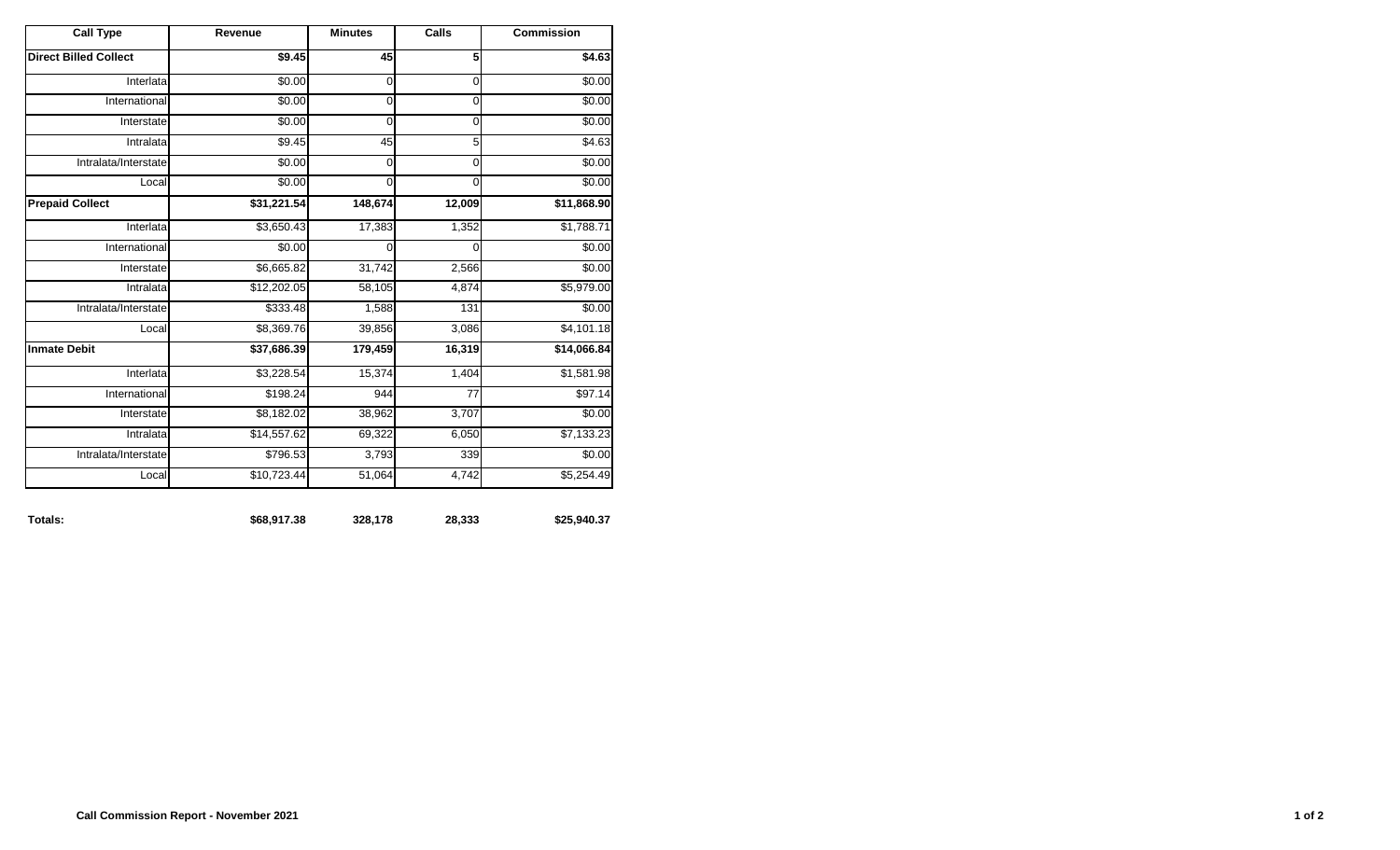| <b>Call Type</b>             | Revenue        | <b>Minutes</b> | Calls       | <b>Commission</b> |
|------------------------------|----------------|----------------|-------------|-------------------|
| <b>Direct Billed Collect</b> | $\sqrt{$9.45}$ | 45             | 5           | \$4.63            |
| Interlata                    | \$0.00         | 0              | 0           | $\sqrt{$0.00}$    |
| International                | \$0.00         | 0              | 0           | \$0.00            |
| Interstate                   | \$0.00         | $\mathbf 0$    | $\mathbf 0$ | \$0.00            |
| Intralata                    | \$9.45         | 45             | 5           | \$4.63            |
| Intralata/Interstate         | \$0.00         | 0              | 0           | \$0.00            |
| Local                        | \$0.00         | 0              | 0           | \$0.00            |
| <b>Prepaid Collect</b>       | \$31,221.54    | 148,674        | 12,009      | \$11,868.90       |
| Interlata                    | \$3,650.43     | 17,383         | 1,352       | \$1,788.71        |
| International                | \$0.00         | 0              | 0           | \$0.00            |
| Interstate                   | \$6,665.82     | 31,742         | 2,566       | \$0.00            |
| Intralata                    | \$12,202.05    | 58,105         | 4,874       | \$5,979.00        |
| Intralata/Interstate         | \$333.48       | 1,588          | 131         | \$0.00            |
| Local                        | \$8,369.76     | 39,856         | 3,086       | \$4,101.18        |
| <b>Inmate Debit</b>          | \$37,686.39    | 179,459        | 16,319      | \$14,066.84       |
| Interlata                    | \$3,228.54     | 15,374         | 1,404       | \$1,581.98        |
| International                | \$198.24       | 944            | 77          | \$97.14           |
| Interstate                   | \$8,182.02     | 38,962         | 3,707       | \$0.00            |
| Intralata                    | \$14,557.62    | 69,322         | 6,050       | \$7,133.23        |
| Intralata/Interstate         | \$796.53       | 3,793          | 339         | \$0.00            |
| Local                        | \$10,723.44    | 51,064         | 4,742       | \$5,254.49        |

**Totals: \$68,917.38 328,178 28,333 \$25,940.37**

| Totals: | \$68,917.38 | 328,178 | 28,333 |
|---------|-------------|---------|--------|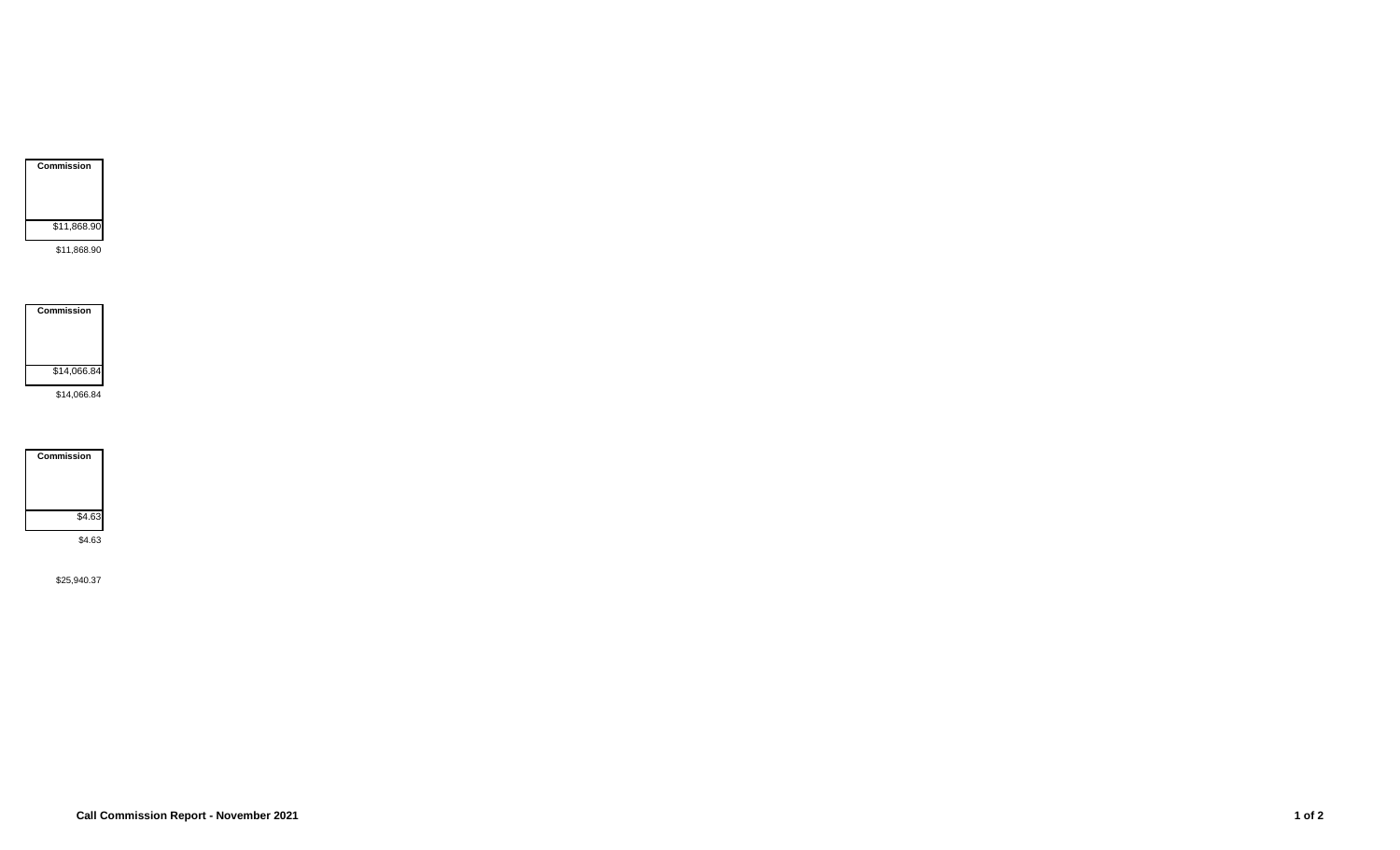

\$11,868.90

**Commission** \$14,066.84 \$14,066.84

**Commission** \$4.63 \$4.63

\$25,940.37